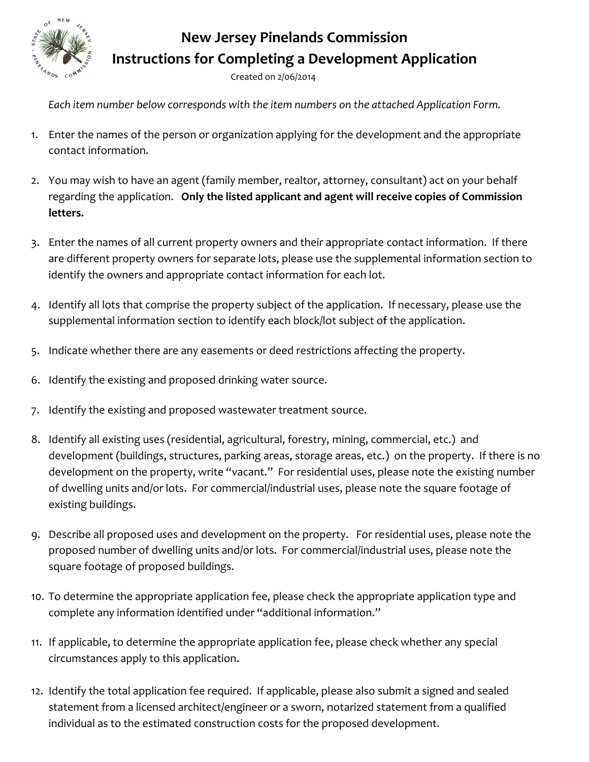

## **New Jersey Pinelands Commission Instructions for Completing a Development Application**

Created on 2/06/2014

Each item number below corresponds with the item numbers on the attached Application Form.

- 1. Enter the names of the person or organization applying for the development and the appropriate contact information.
- 2. You may wish to have an agent (family member, realtor, attorney, consultant) act on your behalf regarding the application. Only the listed applicant and agent will receive copies of Commission letters.
- 3. Enter the names of all current property owners and their appropriate contact information. If there are different property owners for separate lots, please use the supplemental information section to identify the owners and appropriate contact information for each lot.
- 4. Identify all lots that comprise the property subject of the application. If necessary, please use the supplemental information section to identify each block/lot subject of the application.
- 5. Indicate whether there are any easements or deed restrictions affecting the property.
- 6. Identify the existing and proposed drinking water source.
- 7. Identify the existing and proposed wastewater treatment source.
- 8. Identify all existing uses (residential, agricultural, forestry, mining, commercial, etc.) and development (buildings, structures, parking areas, storage areas, etc.) on the property. If there is no development on the property, write "vacant." For residential uses, please note the existing number of dwelling units and/or lots. For commercial/industrial uses, please note the square footage of existing buildings.
- 9. Describe all proposed uses and development on the property. For residential uses, please note the proposed number of dwelling units and/or lots. For commercial/industrial uses, please note the square footage of proposed buildings.
- 10. To determine the appropriate application fee, please check the appropriate application type and complete any information identified under "additional information."
- 11. If applicable, to determine the appropriate application fee, please check whether any special circumstances apply to this application.
- 12. Identify the total application fee required. If applicable, please also submit a signed and sealed statement from a licensed architect/engineer or a sworn, notarized statement from a qualified individual as to the estimated construction costs for the proposed development.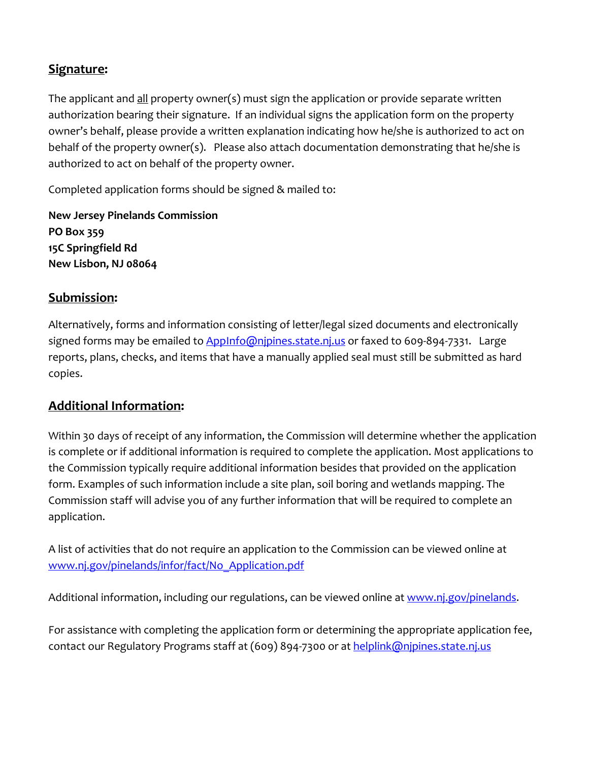#### **Signature:**

The applicant and all property owner(s) must sign the application or provide separate written authorization bearing their signature. If an individual signs the application form on the property owner's behalf, please provide a written explanation indicating how he/she is authorized to act on behalf of the property owner(s). Please also attach documentation demonstrating that he/she is authorized to act on behalf of the property owner.

Completed application forms should be signed & mailed to:

**New Jersey Pinelands Commission PO Box 359 15C Springfield Rd New Lisbon, NJ 08064**

#### **Submission:**

Alternatively, forms and information consisting of letter/legal sized documents and electronically signed forms may be emailed to AppInfo@njpines.state.nj.us or faxed to 609-894-7331. Large reports, plans, checks, and items that have a manually applied seal must still be submitted as hard copies.

#### **Additional Information:**

Within 30 days of receipt of any information, the Commission will determine whether the application is complete or if additional information is required to complete the application. Most applications to the Commission typically require additional information besides that provided on the application form. Examples of such information include a site plan, soil boring and wetlands mapping. The Commission staff will advise you of any further information that will be required to complete an application.

A list of activities that do not require an application to the Commission can be viewed online at www.nj.gov/pinelands/infor/fact/No\_Application.pdf

Additional information, including our regulations, can be viewed online at www.nj.gov/pinelands.

For assistance with completing the application form or determining the appropriate application fee, contact our Regulatory Programs staff at (609) 894‐7300 or at helplink@njpines.state.nj.us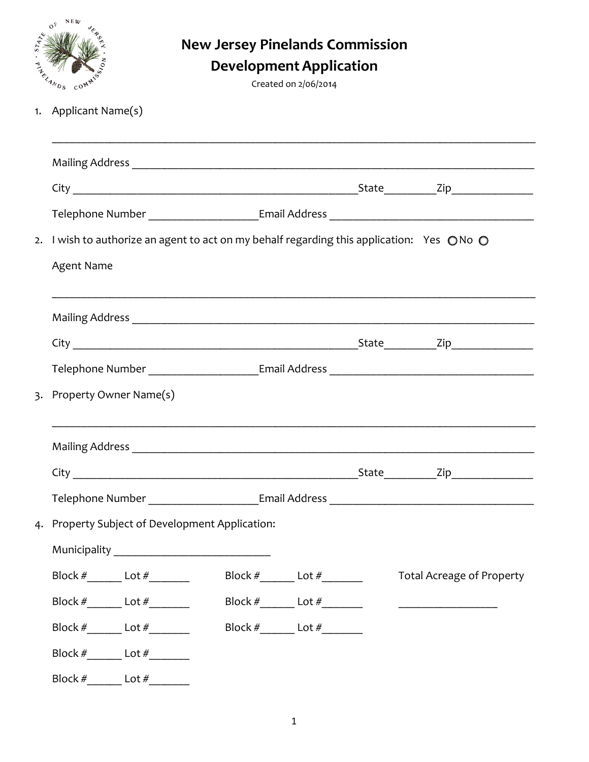| N E W<br>ANDS<br>$\mathcal{C}^{\mathbb{O}^{\mathbb{N}}}$<br>1. Applicant Name(s) |                              | <b>New Jersey Pinelands Commission</b>                                                 | <b>Development Application</b><br>Created on 2/06/2014 |                                                                                   |
|----------------------------------------------------------------------------------|------------------------------|----------------------------------------------------------------------------------------|--------------------------------------------------------|-----------------------------------------------------------------------------------|
|                                                                                  |                              |                                                                                        |                                                        |                                                                                   |
|                                                                                  |                              |                                                                                        |                                                        |                                                                                   |
|                                                                                  |                              |                                                                                        |                                                        |                                                                                   |
| 2.<br><b>Agent Name</b>                                                          |                              | I wish to authorize an agent to act on my behalf regarding this application: Yes ONo O |                                                        |                                                                                   |
|                                                                                  |                              |                                                                                        |                                                        |                                                                                   |
|                                                                                  |                              |                                                                                        |                                                        |                                                                                   |
|                                                                                  |                              |                                                                                        |                                                        | Telephone Number ______________________Email Address ____________________________ |
| $\overline{3}$ .                                                                 | Property Owner Name(s)       |                                                                                        |                                                        |                                                                                   |
|                                                                                  | <b>Mailing Address</b>       |                                                                                        |                                                        |                                                                                   |
|                                                                                  |                              |                                                                                        |                                                        |                                                                                   |
|                                                                                  |                              |                                                                                        |                                                        |                                                                                   |
|                                                                                  |                              | 4. Property Subject of Development Application:                                        |                                                        |                                                                                   |
|                                                                                  |                              | Municipality __________________________________                                        |                                                        |                                                                                   |
|                                                                                  |                              |                                                                                        |                                                        | <b>Total Acreage of Property</b>                                                  |
|                                                                                  |                              |                                                                                        |                                                        | <u> 1989 - Jan Samuel Barbara, martin d</u>                                       |
|                                                                                  |                              |                                                                                        | Block $\#$ Lot $\#$ Lot $\#$                           |                                                                                   |
|                                                                                  | Block $\#$ Lot $\#$ Lot $\#$ |                                                                                        |                                                        |                                                                                   |
|                                                                                  | Block # Lot #                |                                                                                        |                                                        |                                                                                   |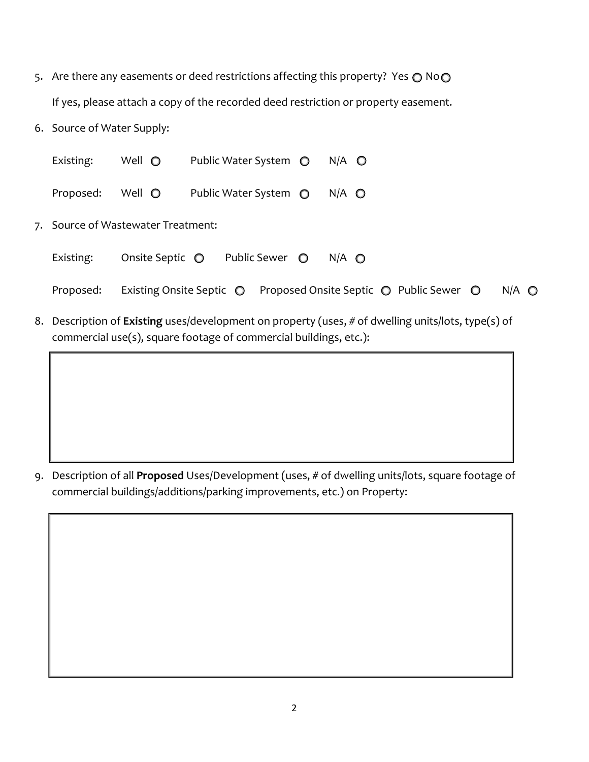- 5. Are there any easements or deed restrictions affecting this property? Yes  $\bigcirc$  No $\bigcirc$ If yes, please attach a copy of the recorded deed restriction or property easement.
- 6. Source of Water Supply:

| Existing:                          | Well $\bigcirc$                   | Public Water System $\bigcirc$ |                | $N/A$ $\bigcirc$ |                                                                                                                              |               |
|------------------------------------|-----------------------------------|--------------------------------|----------------|------------------|------------------------------------------------------------------------------------------------------------------------------|---------------|
| Proposed:                          | Well $\bigcirc$                   | Public Water System ◯          |                | $N/A$ $\odot$    |                                                                                                                              |               |
| 7. Source of Wastewater Treatment: |                                   |                                |                |                  |                                                                                                                              |               |
| Existing:                          | Onsite Septic $\bigcirc$          |                                | Public Sewer O | $N/A$ $\bigcirc$ |                                                                                                                              |               |
| Proposed:                          | Existing Onsite Septic $\bigcirc$ |                                |                |                  | Proposed Onsite Septic ◯ Public Sewer ◯                                                                                      | $N/A$ $\odot$ |
|                                    |                                   |                                |                |                  | المراكب ويربان والملامس ويمتالون باركشال ومويران باست وممسوحات والمستواء بمارا وموزر استناقاته والمستقار والمستورة والمستقار |               |

8. Description of **Existing** uses/development on property (uses, # of dwelling units/lots, type(s) of commercial use(s), square footage of commercial buildings, etc.):

9. Description of all **Proposed** Uses/Development (uses, # of dwelling units/lots, square footage of commercial buildings/additions/parking improvements, etc.) on Property: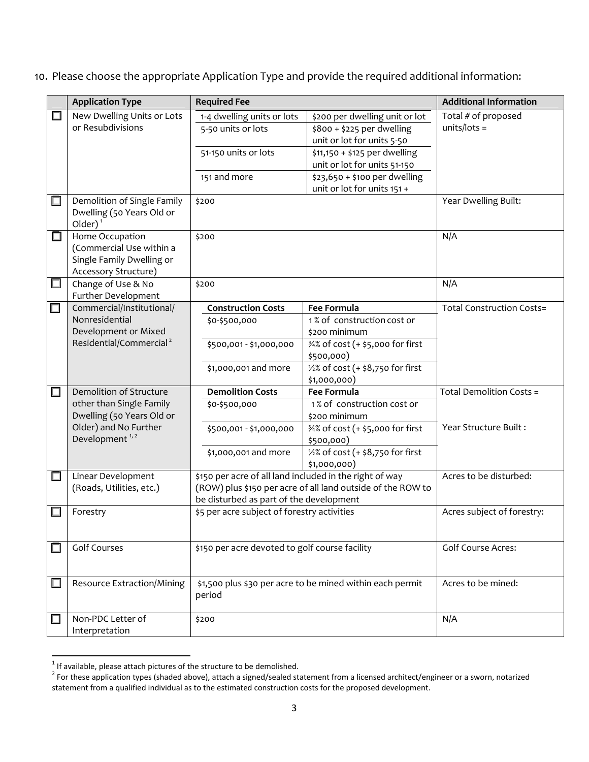#### 10. Please choose the appropriate Application Type and provide the required additional information:

|        | <b>Application Type</b>                    | <b>Required Fee</b>                                                                                                    |                                   | <b>Additional Information</b>    |
|--------|--------------------------------------------|------------------------------------------------------------------------------------------------------------------------|-----------------------------------|----------------------------------|
| □      | New Dwelling Units or Lots                 | 1-4 dwelling units or lots<br>\$200 per dwelling unit or lot                                                           |                                   | Total # of proposed              |
|        | or Resubdivisions                          | 5-50 units or lots<br>\$800 + \$225 per dwelling                                                                       |                                   | units/lots =                     |
|        |                                            |                                                                                                                        | unit or lot for units 5-50        |                                  |
|        |                                            | 51-150 units or lots                                                                                                   | \$11,150 + \$125 per dwelling     |                                  |
|        |                                            |                                                                                                                        | unit or lot for units 51-150      |                                  |
|        |                                            | 151 and more                                                                                                           | \$23,650 + \$100 per dwelling     |                                  |
|        |                                            |                                                                                                                        | unit or lot for units 151 +       |                                  |
| □      | Demolition of Single Family                | \$200                                                                                                                  |                                   | Year Dwelling Built:             |
|        | Dwelling (50 Years Old or                  |                                                                                                                        |                                   |                                  |
|        | Older $)^1$                                |                                                                                                                        |                                   |                                  |
| □      | Home Occupation                            | \$200                                                                                                                  |                                   | N/A                              |
|        | (Commercial Use within a                   |                                                                                                                        |                                   |                                  |
|        | Single Family Dwelling or                  |                                                                                                                        |                                   |                                  |
| $\Box$ | Accessory Structure)<br>Change of Use & No |                                                                                                                        |                                   | N/A                              |
|        | Further Development                        | \$200                                                                                                                  |                                   |                                  |
| $\Box$ | Commercial/Institutional/                  | <b>Construction Costs</b>                                                                                              | <b>Fee Formula</b>                | <b>Total Construction Costs=</b> |
|        | Nonresidential                             | \$0-\$500,000                                                                                                          | 1% of construction cost or        |                                  |
|        | Development or Mixed                       |                                                                                                                        | \$200 minimum                     |                                  |
|        | Residential/Commercial <sup>2</sup>        | 34% of cost (+ \$5,000 for first<br>\$500,001 - \$1,000,000                                                            |                                   |                                  |
|        |                                            |                                                                                                                        | \$500,000)                        |                                  |
|        |                                            | \$1,000,001 and more                                                                                                   | 1/2% of cost (+ \$8,750 for first |                                  |
|        |                                            |                                                                                                                        | \$1,000,000)                      |                                  |
| $\Box$ | Demolition of Structure                    | <b>Demolition Costs</b>                                                                                                | <b>Fee Formula</b>                | Total Demolition Costs =         |
|        | other than Single Family                   | \$0-\$500,000                                                                                                          | 1% of construction cost or        |                                  |
|        | Dwelling (50 Years Old or                  |                                                                                                                        | \$200 minimum                     |                                  |
|        | Older) and No Further                      | \$500,001 - \$1,000,000                                                                                                | 34% of cost (+ \$5,000 for first  | Year Structure Built:            |
|        | Development <sup>1,2</sup>                 |                                                                                                                        | \$500,000)                        |                                  |
|        |                                            | \$1,000,001 and more                                                                                                   | 1/2% of cost (+ \$8,750 for first |                                  |
| □      | Linear Development                         |                                                                                                                        | \$1,000,000)                      | Acres to be disturbed:           |
|        | (Roads, Utilities, etc.)                   | \$150 per acre of all land included in the right of way<br>(ROW) plus \$150 per acre of all land outside of the ROW to |                                   |                                  |
|        |                                            | be disturbed as part of the development                                                                                |                                   |                                  |
| $\Box$ | Forestry                                   | \$5 per acre subject of forestry activities                                                                            |                                   | Acres subject of forestry:       |
|        |                                            |                                                                                                                        |                                   |                                  |
|        |                                            |                                                                                                                        |                                   |                                  |
| П      | <b>Golf Courses</b>                        | \$150 per acre devoted to golf course facility                                                                         |                                   | <b>Golf Course Acres:</b>        |
|        |                                            |                                                                                                                        |                                   |                                  |
|        |                                            |                                                                                                                        |                                   |                                  |
| $\Box$ | <b>Resource Extraction/Mining</b>          | \$1,500 plus \$30 per acre to be mined within each permit                                                              |                                   | Acres to be mined:               |
|        |                                            | period                                                                                                                 |                                   |                                  |
| $\Box$ | Non-PDC Letter of                          | \$200                                                                                                                  |                                   | N/A                              |
|        | Interpretation                             |                                                                                                                        |                                   |                                  |

<sup>&</sup>lt;sup>1</sup> If available, please attach pictures of the structure to be demolished.<br><sup>2</sup> For these application types (shaded above), attach a signed/sealed statement from a licensed architect/engineer or a sworn, notarized statement from a qualified individual as to the estimated construction costs for the proposed development.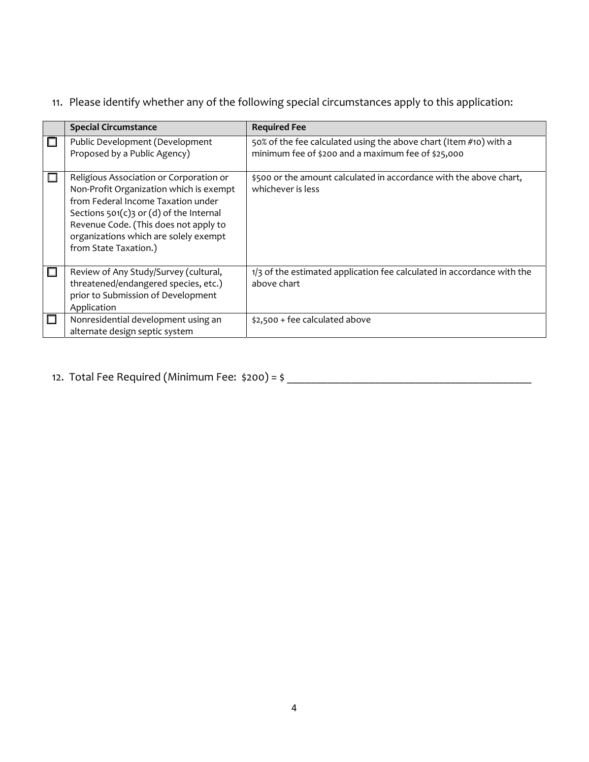#### 11. Please identify whether any of the following special circumstances apply to this application:

|   | <b>Special Circumstance</b>                                                                                                                                                                                                                                                      | <b>Required Fee</b>                                                                                                     |
|---|----------------------------------------------------------------------------------------------------------------------------------------------------------------------------------------------------------------------------------------------------------------------------------|-------------------------------------------------------------------------------------------------------------------------|
|   | Public Development (Development<br>Proposed by a Public Agency)                                                                                                                                                                                                                  | 50% of the fee calculated using the above chart (Item #10) with a<br>minimum fee of \$200 and a maximum fee of \$25,000 |
|   | Religious Association or Corporation or<br>Non-Profit Organization which is exempt<br>from Federal Income Taxation under<br>Sections $501(c)3$ or (d) of the Internal<br>Revenue Code. (This does not apply to<br>organizations which are solely exempt<br>from State Taxation.) | \$500 or the amount calculated in accordance with the above chart,<br>whichever is less                                 |
|   | Review of Any Study/Survey (cultural,<br>threatened/endangered species, etc.)<br>prior to Submission of Development<br>Application                                                                                                                                               | 1/3 of the estimated application fee calculated in accordance with the<br>above chart                                   |
| П | Nonresidential development using an<br>alternate design septic system                                                                                                                                                                                                            | \$2,500 + fee calculated above                                                                                          |

# 12. Total Fee Required (Minimum Fee: \$200) = \$ \_\_\_\_\_\_\_\_\_\_\_\_\_\_\_\_\_\_\_\_\_\_\_\_\_\_\_\_\_\_\_\_\_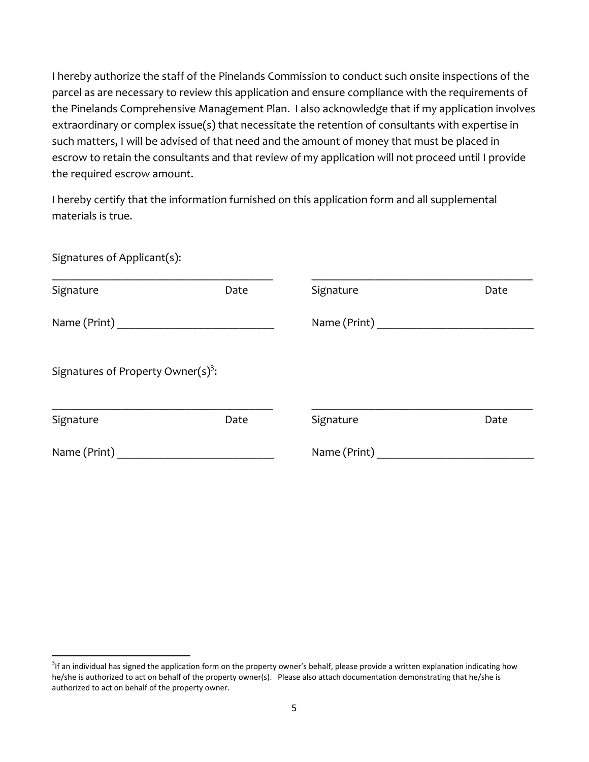I hereby authorize the staff of the Pinelands Commission to conduct such onsite inspections of the parcel as are necessary to review this application and ensure compliance with the requirements of the Pinelands Comprehensive Management Plan. I also acknowledge that if my application involves extraordinary or complex issue(s) that necessitate the retention of consultants with expertise in such matters, I will be advised of that need and the amount of money that must be placed in escrow to retain the consultants and that review of my application will not proceed until I provide the required escrow amount.

I hereby certify that the information furnished on this application form and all supplemental materials is true.

| Signatures of Applicant(s):                                                                                                                                                                                                   |      |                                   |      |
|-------------------------------------------------------------------------------------------------------------------------------------------------------------------------------------------------------------------------------|------|-----------------------------------|------|
| Signature                                                                                                                                                                                                                     | Date | Signature                         | Date |
|                                                                                                                                                                                                                               |      | Name (Print) ____________________ |      |
| Signatures of Property Owner $(s)^3$ :                                                                                                                                                                                        |      |                                   |      |
| Signature                                                                                                                                                                                                                     | Date | Signature                         | Date |
| Name (Print) and the state of the state of the state of the state of the state of the state of the state of the state of the state of the state of the state of the state of the state of the state of the state of the state |      | Name (Print)                      |      |

 $^3$ If an individual has signed the application form on the property owner's behalf, please provide a written explanation indicating how he/she is authorized to act on behalf of the property owner(s). Please also attach documentation demonstrating that he/she is authorized to act on behalf of the property owner.